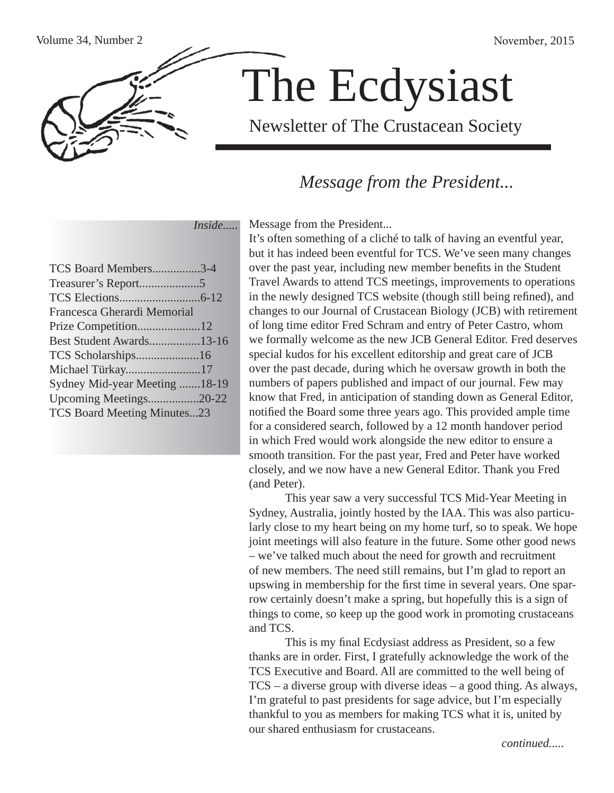

# The Ecdysiast

Newsletter of The Crustacean Society

## *Message from the President...*

 *Inside.....*

| TCS Board Members3-4               |  |
|------------------------------------|--|
|                                    |  |
|                                    |  |
| Francesca Gherardi Memorial        |  |
|                                    |  |
| Best Student Awards13-16           |  |
| TCS Scholarships16                 |  |
| Michael Türkay17                   |  |
| Sydney Mid-year Meeting 18-19      |  |
| Upcoming Meetings20-22             |  |
| <b>TCS Board Meeting Minutes23</b> |  |
|                                    |  |

Message from the President...

It's often something of a cliché to talk of having an eventful year, but it has indeed been eventful for TCS. We've seen many changes over the past year, including new member benefits in the Student Travel Awards to attend TCS meetings, improvements to operations in the newly designed TCS website (though still being refined), and changes to our Journal of Crustacean Biology (JCB) with retirement of long time editor Fred Schram and entry of Peter Castro, whom we formally welcome as the new JCB General Editor. Fred deserves special kudos for his excellent editorship and great care of JCB over the past decade, during which he oversaw growth in both the numbers of papers published and impact of our journal. Few may know that Fred, in anticipation of standing down as General Editor, notified the Board some three years ago. This provided ample time for a considered search, followed by a 12 month handover period in which Fred would work alongside the new editor to ensure a smooth transition. For the past year, Fred and Peter have worked closely, and we now have a new General Editor. Thank you Fred (and Peter).

 This year saw a very successful TCS Mid-Year Meeting in Sydney, Australia, jointly hosted by the IAA. This was also particularly close to my heart being on my home turf, so to speak. We hope joint meetings will also feature in the future. Some other good news – we've talked much about the need for growth and recruitment of new members. The need still remains, but I'm glad to report an upswing in membership for the first time in several years. One sparrow certainly doesn't make a spring, but hopefully this is a sign of things to come, so keep up the good work in promoting crustaceans and TCS.

This is my final Ecdysiast address as President, so a few thanks are in order. First, I gratefully acknowledge the work of the TCS Executive and Board. All are committed to the well being of TCS – a diverse group with diverse ideas – a good thing. As always, I'm grateful to past presidents for sage advice, but I'm especially thankful to you as members for making TCS what it is, united by our shared enthusiasm for crustaceans.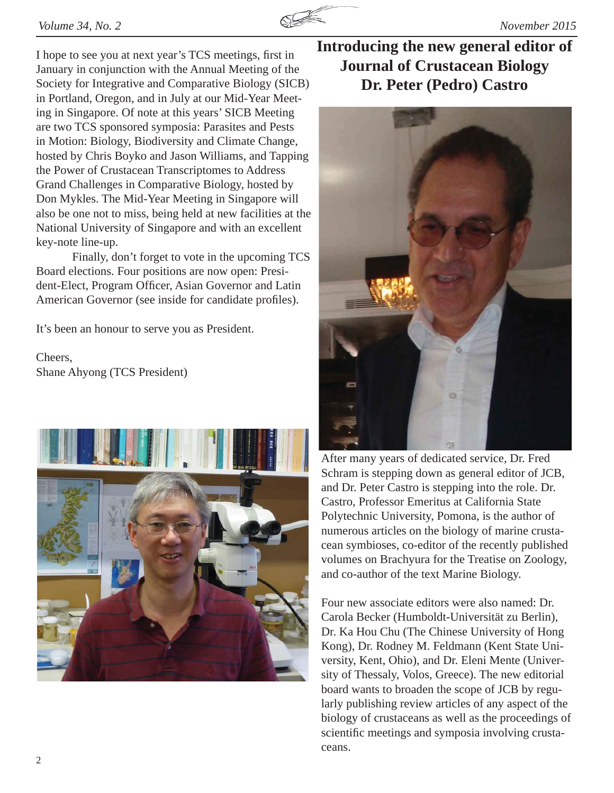

I hope to see you at next year's TCS meetings, first in January in conjunction with the Annual Meeting of the Society for Integrative and Comparative Biology (SICB) in Portland, Oregon, and in July at our Mid-Year Meeting in Singapore. Of note at this years' SICB Meeting are two TCS sponsored symposia: Parasites and Pests in Motion: Biology, Biodiversity and Climate Change, hosted by Chris Boyko and Jason Williams, and Tapping the Power of Crustacean Transcriptomes to Address Grand Challenges in Comparative Biology, hosted by Don Mykles. The Mid-Year Meeting in Singapore will also be one not to miss, being held at new facilities at the National University of Singapore and with an excellent key-note line-up.

 Finally, don't forget to vote in the upcoming TCS Board elections. Four positions are now open: President-Elect, Program Officer, Asian Governor and Latin American Governor (see inside for candidate profiles).

It's been an honour to serve you as President.

Cheers, Shane Ahyong (TCS President)



## **Introducing the new general editor of Journal of Crustacean Biology Dr. Peter (Pedro) Castro**



After many years of dedicated service, Dr. Fred Schram is stepping down as general editor of JCB, and Dr. Peter Castro is stepping into the role. Dr. Castro, Professor Emeritus at California State Polytechnic University, Pomona, is the author of numerous articles on the biology of marine crustacean symbioses, co-editor of the recently published volumes on Brachyura for the Treatise on Zoology, and co-author of the text Marine Biology.

Four new associate editors were also named: Dr. Carola Becker (Humboldt-Universität zu Berlin), Dr. Ka Hou Chu (The Chinese University of Hong Kong), Dr. Rodney M. Feldmann (Kent State University, Kent, Ohio), and Dr. Eleni Mente (University of Thessaly, Volos, Greece). The new editorial board wants to broaden the scope of JCB by regularly publishing review articles of any aspect of the biology of crustaceans as well as the proceedings of scientific meetings and symposia involving crustaceans.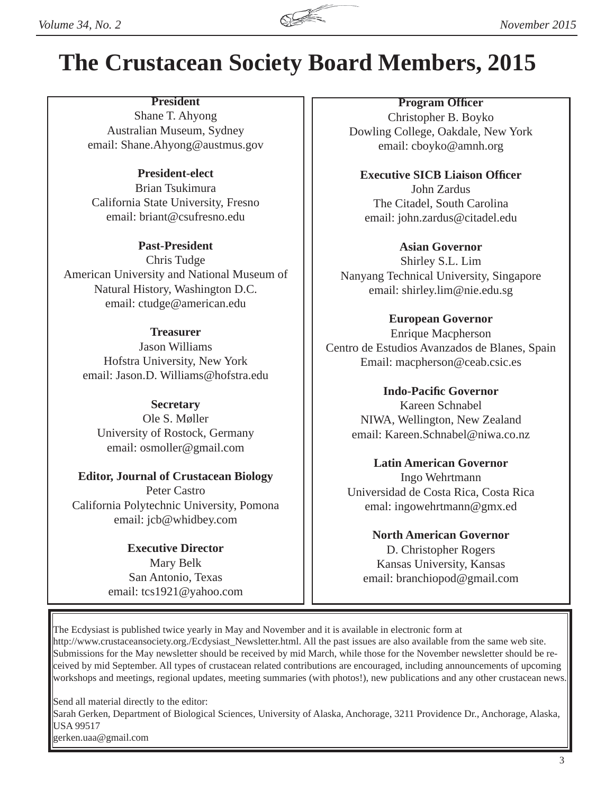

## **The Crustacean Society Board Members, 2015**

## **President**

Shane T. Ahyong Australian Museum, Sydney email: Shane.Ahyong@austmus.gov

### **President-elect**

Brian Tsukimura California State University, Fresno email: briant@csufresno.edu

### **Past-President**

Chris Tudge American University and National Museum of Natural History, Washington D.C. email: ctudge@american.edu

### **Treasurer**

Jason Williams Hofstra University, New York email: Jason.D. Williams@hofstra.edu

### **Secretary**

Ole S. Møller University of Rostock, Germany email: osmoller@gmail.com

### **Editor, Journal of Crustacean Biology** Peter Castro California Polytechnic University, Pomona email: jcb@whidbey.com

### **Executive Director** Mary Belk San Antonio, Texas email: tcs1921@yahoo.com

### **Program Officer** Christopher B. Boyko Dowling College, Oakdale, New York email: cboyko@amnh.org

**Executive SICB Liaison Officer** John Zardus The Citadel, South Carolina email: john.zardus@citadel.edu

### **Asian Governor**

Shirley S.L. Lim Nanyang Technical University, Singapore email: shirley.lim@nie.edu.sg

### **European Governor**

Enrique Macpherson Centro de Estudios Avanzados de Blanes, Spain Email: macpherson@ceab.csic.es

### **Indo-Pacifi c Governor**

Kareen Schnabel NIWA, Wellington, New Zealand email: Kareen.Schnabel@niwa.co.nz

## **Latin American Governor** Ingo Wehrtmann Universidad de Costa Rica, Costa Rica emal: ingowehrtmann@gmx.ed

**North American Governor** D. Christopher Rogers Kansas University, Kansas email: branchiopod@gmail.com

The Ecdysiast is published twice yearly in May and November and it is available in electronic form at http://www.crustaceansociety.org./Ecdysiast\_Newsletter.html. All the past issues are also available from the same web site. Submissions for the May newsletter should be received by mid March, while those for the November newsletter should be received by mid September. All types of crustacean related contributions are encouraged, including announcements of upcoming workshops and meetings, regional updates, meeting summaries (with photos!), new publications and any other crustacean news.

Send all material directly to the editor: Sarah Gerken, Department of Biological Sciences, University of Alaska, Anchorage, 3211 Providence Dr., Anchorage, Alaska, USA 99517 gerken.uaa@gmail.com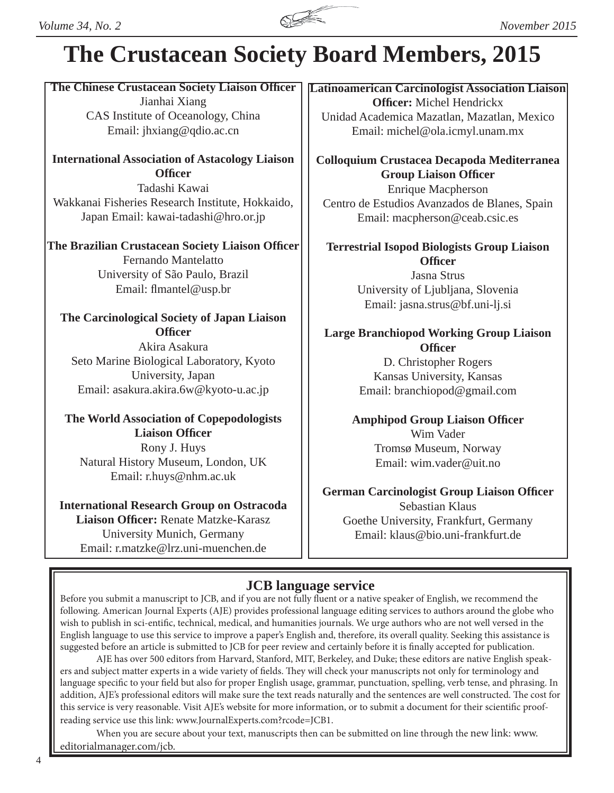

## **The Crustacean Society Board Members, 2015**

**The Chinese Crustacean Society Liaison Offi cer** Jianhai Xiang CAS Institute of Oceanology, China Email: jhxiang@qdio.ac.cn

**International Association of Astacology Liaison Officer** Tadashi Kawai

Wakkanai Fisheries Research Institute, Hokkaido, Japan Email: kawai-tadashi@hro.or.jp

**The Brazilian Crustacean Society Liaison Officer** Fernando Mantelatto University of São Paulo, Brazil Email: flmantel@usp.br

## **The Carcinological Society of Japan Liaison Officer**

Akira Asakura Seto Marine Biological Laboratory, Kyoto University, Japan Email: asakura.akira.6w@kyoto-u.ac.jp

**The World Association of Copepodologists Liaison Officer** Rony J. Huys Natural History Museum, London, UK Email: r.huys@nhm.ac.uk

## **International Research Group on Ostracoda Liaison Officer:** Renate Matzke-Karasz University Munich, Germany Email: r.matzke@lrz.uni-muenchen.de

**Latinoamerican Carcinologist Association Liaison Officer:** Michel Hendrickx Unidad Academica Mazatlan, Mazatlan, Mexico Email: michel@ola.icmyl.unam.mx

**Colloquium Crustacea Decapoda Mediterranea Group Liaison Offi cer**

Enrique Macpherson Centro de Estudios Avanzados de Blanes, Spain Email: macpherson@ceab.csic.es

**Terrestrial Isopod Biologists Group Liaison Officer**

Jasna Strus University of Ljubljana, Slovenia Email: jasna.strus@bf.uni-lj.si

## **Large Branchiopod Working Group Liaison Officer**

D. Christopher Rogers Kansas University, Kansas Email: branchiopod@gmail.com

**Amphipod Group Liaison Officer** Wim Vader Tromsø Museum, Norway Email: wim.vader@uit.no

## **German Carcinologist Group Liaison Officer**

Sebastian Klaus Goethe University, Frankfurt, Germany Email: klaus@bio.uni-frankfurt.de

## **JCB language service**

Before you submit a manuscript to JCB, and if you are not fully fluent or a native speaker of English, we recommend the following. American Journal Experts (AJE) provides professional language editing services to authors around the globe who wish to publish in sci-entific, technical, medical, and humanities journals. We urge authors who are not well versed in the English language to use this service to improve a paper's English and, therefore, its overall quality. Seeking this assistance is suggested before an article is submitted to JCB for peer review and certainly before it is finally accepted for publication.

 AJE has over 500 editors from Harvard, Stanford, MIT, Berkeley, and Duke; these editors are native English speakers and subject matter experts in a wide variety of fields. They will check your manuscripts not only for terminology and language specific to your field but also for proper English usage, grammar, punctuation, spelling, verb tense, and phrasing. In addition, AJE's professional editors will make sure the text reads naturally and the sentences are well constructed. The cost for this service is very reasonable. Visit AJE's website for more information, or to submit a document for their scientific proofreading service use this link: www.JournalExperts.com?rcode=JCB1.

When you are secure about your text, manuscripts then can be submitted on line through the new link: www. editorialmanager.com/jcb.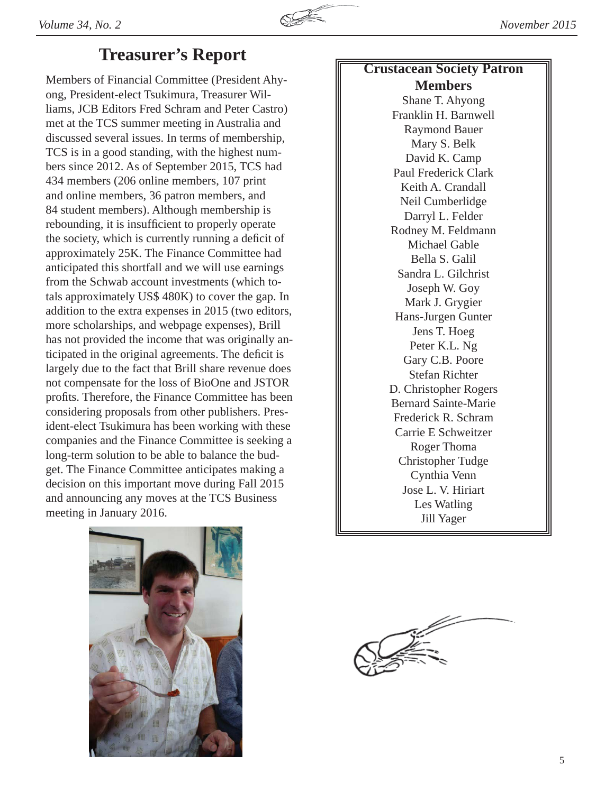

## **Treasurer's Report**

Members of Financial Committee (President Ahyong, President-elect Tsukimura, Treasurer Williams, JCB Editors Fred Schram and Peter Castro) met at the TCS summer meeting in Australia and discussed several issues. In terms of membership, TCS is in a good standing, with the highest numbers since 2012. As of September 2015, TCS had 434 members (206 online members, 107 print and online members, 36 patron members, and 84 student members). Although membership is rebounding, it is insufficient to properly operate the society, which is currently running a deficit of approximately 25K. The Finance Committee had anticipated this shortfall and we will use earnings from the Schwab account investments (which totals approximately US\$ 480K) to cover the gap. In addition to the extra expenses in 2015 (two editors, more scholarships, and webpage expenses), Brill has not provided the income that was originally anticipated in the original agreements. The deficit is largely due to the fact that Brill share revenue does not compensate for the loss of BioOne and JSTOR profits. Therefore, the Finance Committee has been considering proposals from other publishers. President-elect Tsukimura has been working with these companies and the Finance Committee is seeking a long-term solution to be able to balance the budget. The Finance Committee anticipates making a decision on this important move during Fall 2015 and announcing any moves at the TCS Business meeting in January 2016.



Shane T. Ahyong Franklin H. Barnwell Raymond Bauer Mary S. Belk David K. Camp Paul Frederick Clark Keith A. Crandall Neil Cumberlidge Darryl L. Felder Rodney M. Feldmann Michael Gable Bella S. Galil Sandra L. Gilchrist Joseph W. Goy Mark J. Grygier Hans-Jurgen Gunter Jens T. Hoeg Peter K.L. Ng Gary C.B. Poore Stefan Richter D. Christopher Rogers Bernard Sainte-Marie Frederick R. Schram Carrie E Schweitzer Roger Thoma Christopher Tudge Cynthia Venn Jose L. V. Hiriart Les Watling Jill Yager



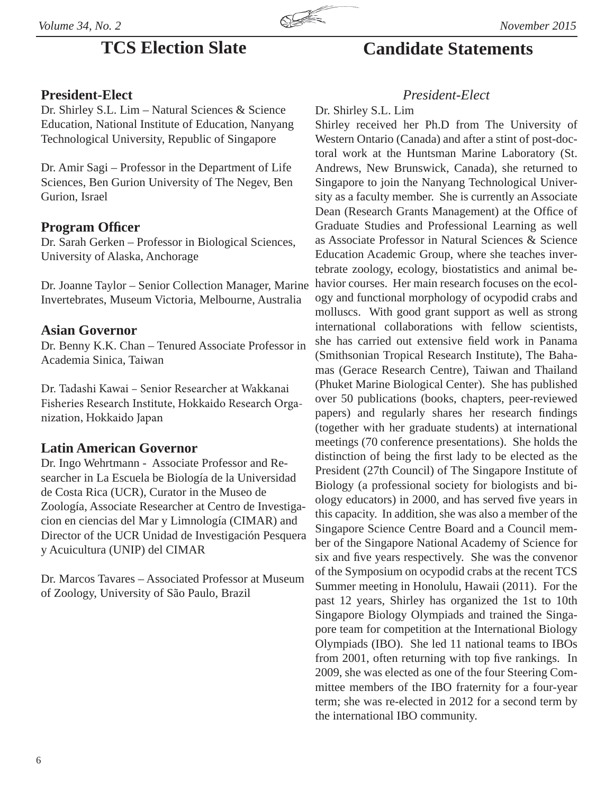

## **President-Elect**

Dr. Shirley S.L. Lim – Natural Sciences & Science Education, National Institute of Education, Nanyang Technological University, Republic of Singapore

Dr. Amir Sagi – Professor in the Department of Life Sciences, Ben Gurion University of The Negev, Ben Gurion, Israel

## **Program Officer**

Dr. Sarah Gerken – Professor in Biological Sciences, University of Alaska, Anchorage

Dr. Joanne Taylor – Senior Collection Manager, Marine Invertebrates, Museum Victoria, Melbourne, Australia

## **Asian Governor**

Dr. Benny K.K. Chan – Tenured Associate Professor in Academia Sinica, Taiwan

Dr. Tadashi Kawai – Senior Researcher at Wakkanai Fisheries Research Institute, Hokkaido Research Organization, Hokkaido Japan

## **Latin American Governor**

Dr. Ingo Wehrtmann - Associate Professor and Researcher in La Escuela be Biología de la Universidad de Costa Rica (UCR), Curator in the Museo de Zoología, Associate Researcher at Centro de Investigacion en ciencias del Mar y Limnología (CIMAR) and Director of the UCR Unidad de Investigación Pesquera y Acuicultura (UNIP) del CIMAR

Dr. Marcos Tavares – Associated Professor at Museum of Zoology, University of São Paulo, Brazil

## **TCS Election Slate Candidate Statements**

## *President-Elect*

Dr. Shirley S.L. Lim

Shirley received her Ph.D from The University of Western Ontario (Canada) and after a stint of post-doctoral work at the Huntsman Marine Laboratory (St. Andrews, New Brunswick, Canada), she returned to Singapore to join the Nanyang Technological University as a faculty member. She is currently an Associate Dean (Research Grants Management) at the Office of Graduate Studies and Professional Learning as well as Associate Professor in Natural Sciences & Science Education Academic Group, where she teaches invertebrate zoology, ecology, biostatistics and animal behavior courses. Her main research focuses on the ecology and functional morphology of ocypodid crabs and molluscs. With good grant support as well as strong international collaborations with fellow scientists, she has carried out extensive field work in Panama (Smithsonian Tropical Research Institute), The Bahamas (Gerace Research Centre), Taiwan and Thailand (Phuket Marine Biological Center). She has published over 50 publications (books, chapters, peer-reviewed papers) and regularly shares her research findings (together with her graduate students) at international meetings (70 conference presentations). She holds the distinction of being the first lady to be elected as the President (27th Council) of The Singapore Institute of Biology (a professional society for biologists and biology educators) in 2000, and has served five years in this capacity. In addition, she was also a member of the Singapore Science Centre Board and a Council member of the Singapore National Academy of Science for six and five years respectively. She was the convenor of the Symposium on ocypodid crabs at the recent TCS Summer meeting in Honolulu, Hawaii (2011). For the past 12 years, Shirley has organized the 1st to 10th Singapore Biology Olympiads and trained the Singapore team for competition at the International Biology Olympiads (IBO). She led 11 national teams to IBOs from 2001, often returning with top five rankings. In 2009, she was elected as one of the four Steering Committee members of the IBO fraternity for a four-year term; she was re-elected in 2012 for a second term by the international IBO community.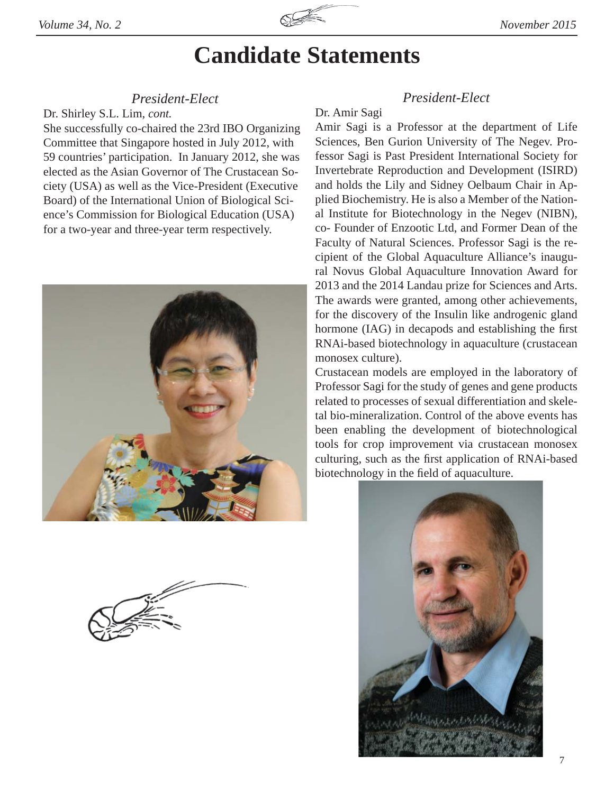

### *President-Elect*

Dr. Shirley S.L. Lim, *cont.*

She successfully co-chaired the 23rd IBO Organizing Committee that Singapore hosted in July 2012, with 59 countries' participation. In January 2012, she was elected as the Asian Governor of The Crustacean Society (USA) as well as the Vice-President (Executive Board) of the International Union of Biological Science's Commission for Biological Education (USA) for a two-year and three-year term respectively.



## *President-Elect*

### Dr. Amir Sagi

Amir Sagi is a Professor at the department of Life Sciences, Ben Gurion University of The Negev. Professor Sagi is Past President International Society for Invertebrate Reproduction and Development (ISIRD) and holds the Lily and Sidney Oelbaum Chair in Applied Biochemistry. He is also a Member of the National Institute for Biotechnology in the Negev (NIBN), co- Founder of Enzootic Ltd, and Former Dean of the Faculty of Natural Sciences. Professor Sagi is the recipient of the Global Aquaculture Alliance's inaugural Novus Global Aquaculture Innovation Award for 2013 and the 2014 Landau prize for Sciences and Arts. The awards were granted, among other achievements, for the discovery of the Insulin like androgenic gland hormone (IAG) in decapods and establishing the first RNAi-based biotechnology in aquaculture (crustacean monosex culture).

Crustacean models are employed in the laboratory of Professor Sagi for the study of genes and gene products related to processes of sexual differentiation and skeletal bio-mineralization. Control of the above events has been enabling the development of biotechnological tools for crop improvement via crustacean monosex culturing, such as the first application of RNAi-based biotechnology in the field of aquaculture.

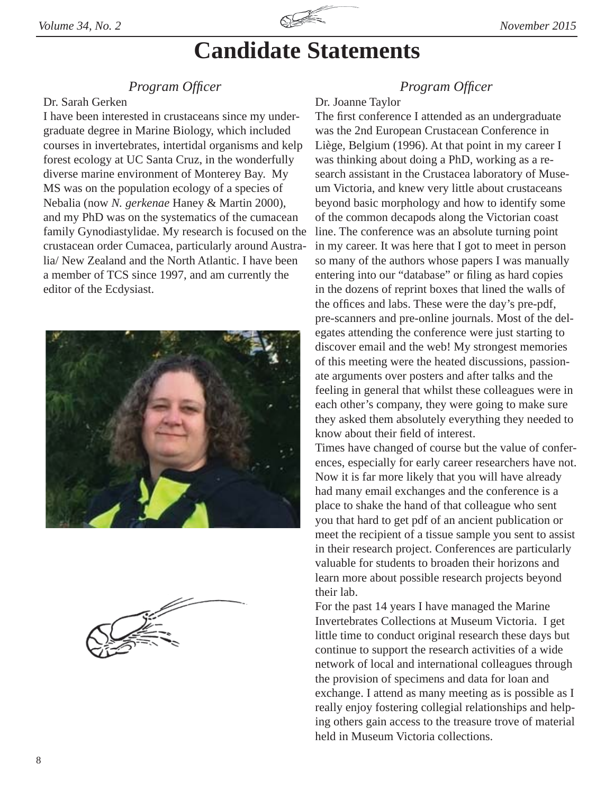

## *Program Offi cer*

### Dr. Sarah Gerken

I have been interested in crustaceans since my undergraduate degree in Marine Biology, which included courses in invertebrates, intertidal organisms and kelp forest ecology at UC Santa Cruz, in the wonderfully diverse marine environment of Monterey Bay. My MS was on the population ecology of a species of Nebalia (now *N. gerkenae* Haney & Martin 2000), and my PhD was on the systematics of the cumacean family Gynodiastylidae. My research is focused on the crustacean order Cumacea, particularly around Australia/ New Zealand and the North Atlantic. I have been a member of TCS since 1997, and am currently the editor of the Ecdysiast.



## *Program Offi cer*

### Dr. Joanne Taylor

The first conference I attended as an undergraduate was the 2nd European Crustacean Conference in Liège, Belgium (1996). At that point in my career I was thinking about doing a PhD, working as a research assistant in the Crustacea laboratory of Museum Victoria, and knew very little about crustaceans beyond basic morphology and how to identify some of the common decapods along the Victorian coast line. The conference was an absolute turning point in my career. It was here that I got to meet in person so many of the authors whose papers I was manually entering into our "database" or filing as hard copies in the dozens of reprint boxes that lined the walls of the offices and labs. These were the day's pre-pdf, pre-scanners and pre-online journals. Most of the delegates attending the conference were just starting to discover email and the web! My strongest memories of this meeting were the heated discussions, passionate arguments over posters and after talks and the feeling in general that whilst these colleagues were in each other's company, they were going to make sure they asked them absolutely everything they needed to know about their field of interest.

Times have changed of course but the value of conferences, especially for early career researchers have not. Now it is far more likely that you will have already had many email exchanges and the conference is a place to shake the hand of that colleague who sent you that hard to get pdf of an ancient publication or meet the recipient of a tissue sample you sent to assist in their research project. Conferences are particularly valuable for students to broaden their horizons and learn more about possible research projects beyond their lab.

For the past 14 years I have managed the Marine Invertebrates Collections at Museum Victoria. I get little time to conduct original research these days but continue to support the research activities of a wide network of local and international colleagues through the provision of specimens and data for loan and exchange. I attend as many meeting as is possible as I really enjoy fostering collegial relationships and helping others gain access to the treasure trove of material held in Museum Victoria collections.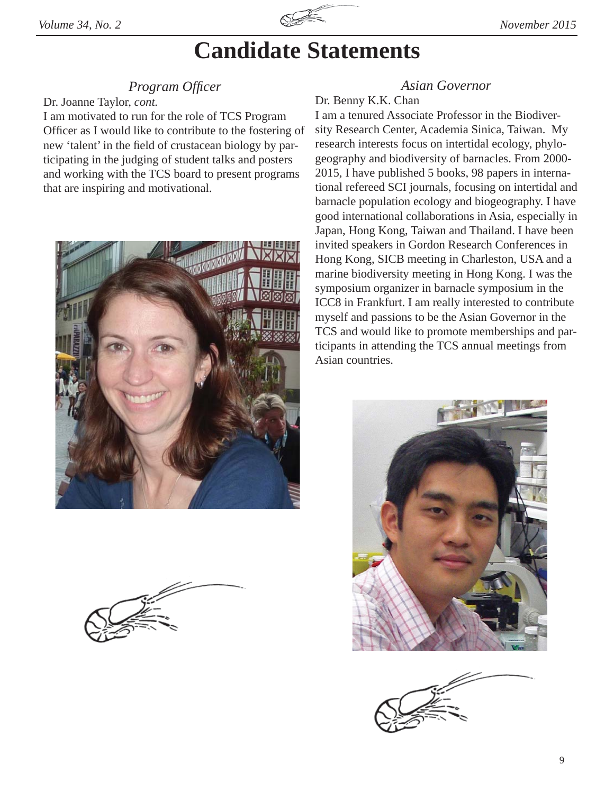

## *Program Offi cer*

Dr. Joanne Taylor, *cont.*

I am motivated to run for the role of TCS Program Officer as I would like to contribute to the fostering of new 'talent' in the field of crustacean biology by participating in the judging of student talks and posters and working with the TCS board to present programs that are inspiring and motivational.





## *Asian Governor*

## Dr. Benny K.K. Chan

I am a tenured Associate Professor in the Biodiversity Research Center, Academia Sinica, Taiwan. My research interests focus on intertidal ecology, phylogeography and biodiversity of barnacles. From 2000- 2015, I have published 5 books, 98 papers in international refereed SCI journals, focusing on intertidal and barnacle population ecology and biogeography. I have good international collaborations in Asia, especially in Japan, Hong Kong, Taiwan and Thailand. I have been invited speakers in Gordon Research Conferences in Hong Kong, SICB meeting in Charleston, USA and a marine biodiversity meeting in Hong Kong. I was the symposium organizer in barnacle symposium in the ICC8 in Frankfurt. I am really interested to contribute myself and passions to be the Asian Governor in the TCS and would like to promote memberships and participants in attending the TCS annual meetings from Asian countries.



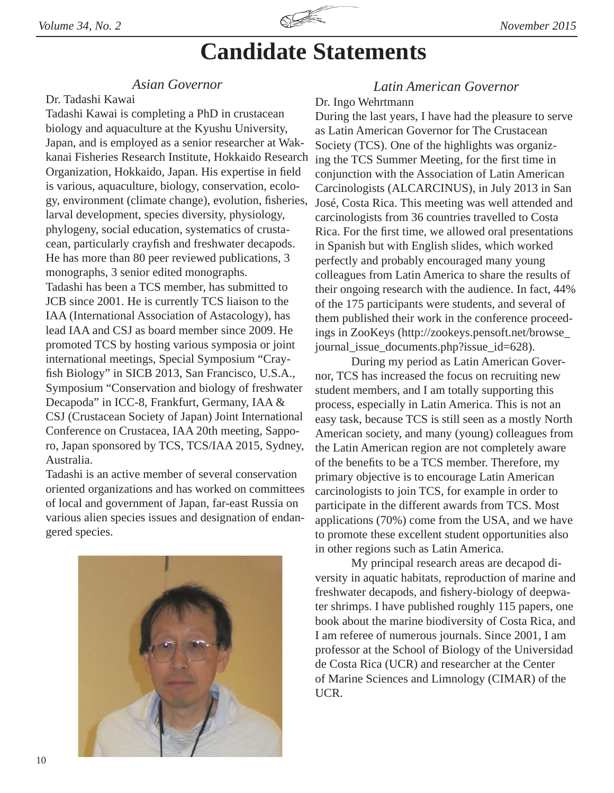

## *Asian Governor*

### Dr. Tadashi Kawai

Tadashi Kawai is completing a PhD in crustacean biology and aquaculture at the Kyushu University, Japan, and is employed as a senior researcher at Wakkanai Fisheries Research Institute, Hokkaido Research Organization, Hokkaido, Japan. His expertise in field is various, aquaculture, biology, conservation, ecology, environment (climate change), evolution, fisheries, larval development, species diversity, physiology, phylogeny, social education, systematics of crustacean, particularly crayfish and freshwater decapods. He has more than 80 peer reviewed publications, 3 monographs, 3 senior edited monographs. Tadashi has been a TCS member, has submitted to JCB since 2001. He is currently TCS liaison to the IAA (International Association of Astacology), has lead IAA and CSJ as board member since 2009. He promoted TCS by hosting various symposia or joint international meetings, Special Symposium "Crayfish Biology" in SICB 2013, San Francisco, U.S.A., Symposium "Conservation and biology of freshwater Decapoda" in ICC-8, Frankfurt, Germany, IAA & CSJ (Crustacean Society of Japan) Joint International Conference on Crustacea, IAA 20th meeting, Sapporo, Japan sponsored by TCS, TCS/IAA 2015, Sydney, Australia.

Tadashi is an active member of several conservation oriented organizations and has worked on committees of local and government of Japan, far-east Russia on various alien species issues and designation of endangered species.



## *Latin American Governor*

## Dr. Ingo Wehrtmann

During the last years, I have had the pleasure to serve as Latin American Governor for The Crustacean Society (TCS). One of the highlights was organizing the TCS Summer Meeting, for the first time in conjunction with the Association of Latin American Carcinologists (ALCARCINUS), in July 2013 in San José, Costa Rica. This meeting was well attended and carcinologists from 36 countries travelled to Costa Rica. For the first time, we allowed oral presentations in Spanish but with English slides, which worked perfectly and probably encouraged many young colleagues from Latin America to share the results of their ongoing research with the audience. In fact, 44% of the 175 participants were students, and several of them published their work in the conference proceedings in ZooKeys (http://zookeys.pensoft.net/browse\_ journal\_issue\_documents.php?issue\_id=628).

 During my period as Latin American Governor, TCS has increased the focus on recruiting new student members, and I am totally supporting this process, especially in Latin America. This is not an easy task, because TCS is still seen as a mostly North American society, and many (young) colleagues from the Latin American region are not completely aware of the benefits to be a TCS member. Therefore, my primary objective is to encourage Latin American carcinologists to join TCS, for example in order to participate in the different awards from TCS. Most applications (70%) come from the USA, and we have to promote these excellent student opportunities also in other regions such as Latin America.

 My principal research areas are decapod diversity in aquatic habitats, reproduction of marine and freshwater decapods, and fishery-biology of deepwater shrimps. I have published roughly 115 papers, one book about the marine biodiversity of Costa Rica, and I am referee of numerous journals. Since 2001, I am professor at the School of Biology of the Universidad de Costa Rica (UCR) and researcher at the Center of Marine Sciences and Limnology (CIMAR) of the UCR.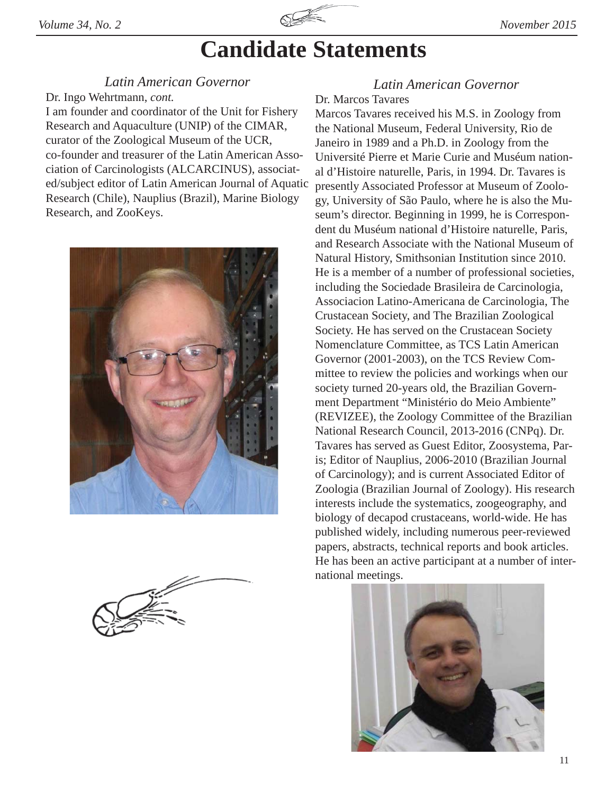

## *Latin American Governor*

Dr. Ingo Wehrtmann, *cont.*

I am founder and coordinator of the Unit for Fishery Research and Aquaculture (UNIP) of the CIMAR, curator of the Zoological Museum of the UCR, co-founder and treasurer of the Latin American Association of Carcinologists (ALCARCINUS), associated/subject editor of Latin American Journal of Aquatic Research (Chile), Nauplius (Brazil), Marine Biology Research, and ZooKeys.



## *Latin American Governor*

### Dr. Marcos Tavares

Marcos Tavares received his M.S. in Zoology from the National Museum, Federal University, Rio de Janeiro in 1989 and a Ph.D. in Zoology from the Université Pierre et Marie Curie and Muséum national d'Histoire naturelle, Paris, in 1994. Dr. Tavares is presently Associated Professor at Museum of Zoology, University of São Paulo, where he is also the Museum's director. Beginning in 1999, he is Correspondent du Muséum national d'Histoire naturelle, Paris, and Research Associate with the National Museum of Natural History, Smithsonian Institution since 2010. He is a member of a number of professional societies, including the Sociedade Brasileira de Carcinologia, Associacion Latino-Americana de Carcinologia, The Crustacean Society, and The Brazilian Zoological Society. He has served on the Crustacean Society Nomenclature Committee, as TCS Latin American Governor (2001-2003), on the TCS Review Committee to review the policies and workings when our society turned 20-years old, the Brazilian Government Department "Ministério do Meio Ambiente" (REVIZEE), the Zoology Committee of the Brazilian National Research Council, 2013-2016 (CNPq). Dr. Tavares has served as Guest Editor, Zoosystema, Paris; Editor of Nauplius, 2006-2010 (Brazilian Journal of Carcinology); and is current Associated Editor of Zoologia (Brazilian Journal of Zoology). His research interests include the systematics, zoogeography, and biology of decapod crustaceans, world-wide. He has published widely, including numerous peer-reviewed papers, abstracts, technical reports and book articles. He has been an active participant at a number of international meetings.

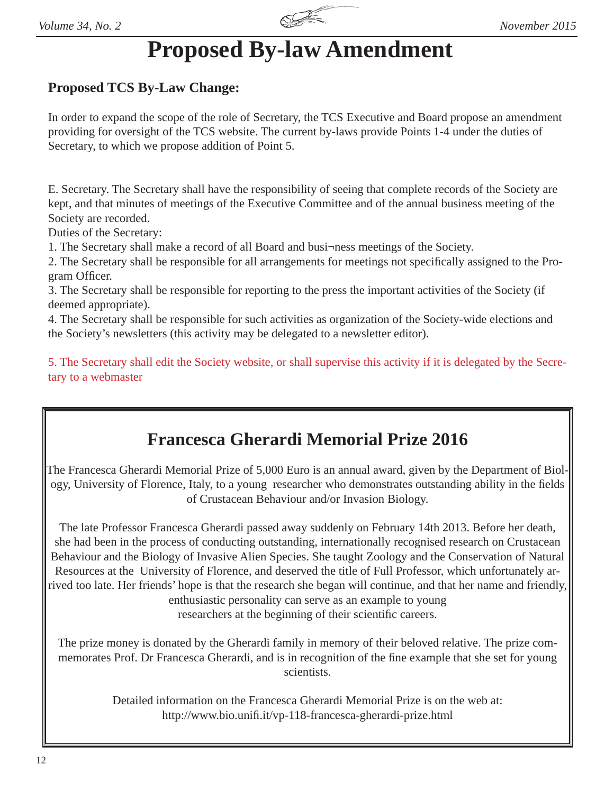

## **Proposed By-law Amendment**

## **Proposed TCS By-Law Change:**

In order to expand the scope of the role of Secretary, the TCS Executive and Board propose an amendment providing for oversight of the TCS website. The current by-laws provide Points 1-4 under the duties of Secretary, to which we propose addition of Point 5.

E. Secretary. The Secretary shall have the responsibility of seeing that complete records of the Society are kept, and that minutes of meetings of the Executive Committee and of the annual business meeting of the Society are recorded.

Duties of the Secretary:

1. The Secretary shall make a record of all Board and busi¬ness meetings of the Society.

2. The Secretary shall be responsible for all arrangements for meetings not specifically assigned to the Program Officer.

3. The Secretary shall be responsible for reporting to the press the important activities of the Society (if deemed appropriate).

4. The Secretary shall be responsible for such activities as organization of the Society-wide elections and the Society's newsletters (this activity may be delegated to a newsletter editor).

5. The Secretary shall edit the Society website, or shall supervise this activity if it is delegated by the Secretary to a webmaster

## **Francesca Gherardi Memorial Prize 2016**

The Francesca Gherardi Memorial Prize of 5,000 Euro is an annual award, given by the Department of Biology, University of Florence, Italy, to a young researcher who demonstrates outstanding ability in the fields of Crustacean Behaviour and/or Invasion Biology.

The late Professor Francesca Gherardi passed away suddenly on February 14th 2013. Before her death, she had been in the process of conducting outstanding, internationally recognised research on Crustacean Behaviour and the Biology of Invasive Alien Species. She taught Zoology and the Conservation of Natural Resources at the University of Florence, and deserved the title of Full Professor, which unfortunately arrived too late. Her friends' hope is that the research she began will continue, and that her name and friendly, enthusiastic personality can serve as an example to young

researchers at the beginning of their scientific careers.

The prize money is donated by the Gherardi family in memory of their beloved relative. The prize commemorates Prof. Dr Francesca Gherardi, and is in recognition of the fine example that she set for young scientists.

> Detailed information on the Francesca Gherardi Memorial Prize is on the web at: http://www.bio.unifi .it/vp-118-francesca-gherardi-prize.html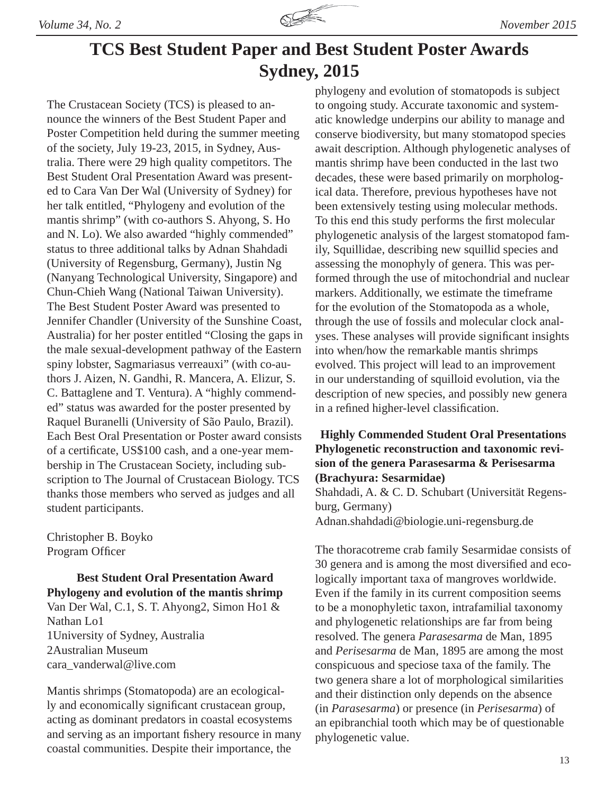

## **TCS Best Student Paper and Best Student Poster Awards Sydney, 2015**

The Crustacean Society (TCS) is pleased to announce the winners of the Best Student Paper and Poster Competition held during the summer meeting of the society, July 19-23, 2015, in Sydney, Australia. There were 29 high quality competitors. The Best Student Oral Presentation Award was presented to Cara Van Der Wal (University of Sydney) for her talk entitled, "Phylogeny and evolution of the mantis shrimp" (with co-authors S. Ahyong, S. Ho and N. Lo). We also awarded "highly commended" status to three additional talks by Adnan Shahdadi (University of Regensburg, Germany), Justin Ng (Nanyang Technological University, Singapore) and Chun-Chieh Wang (National Taiwan University). The Best Student Poster Award was presented to Jennifer Chandler (University of the Sunshine Coast, Australia) for her poster entitled "Closing the gaps in the male sexual-development pathway of the Eastern spiny lobster, Sagmariasus verreauxi" (with co-authors J. Aizen, N. Gandhi, R. Mancera, A. Elizur, S. C. Battaglene and T. Ventura). A "highly commended" status was awarded for the poster presented by Raquel Buranelli (University of São Paulo, Brazil). Each Best Oral Presentation or Poster award consists of a certificate, US\$100 cash, and a one-year membership in The Crustacean Society, including subscription to The Journal of Crustacean Biology. TCS thanks those members who served as judges and all student participants.

Christopher B. Boyko Program Officer

**Best Student Oral Presentation Award Phylogeny and evolution of the mantis shrimp** Van Der Wal, C.1, S. T. Ahyong2, Simon Ho1 & Nathan Lo1 1University of Sydney, Australia 2Australian Museum cara\_vanderwal@live.com

Mantis shrimps (Stomatopoda) are an ecologically and economically significant crustacean group, acting as dominant predators in coastal ecosystems and serving as an important fishery resource in many coastal communities. Despite their importance, the

phylogeny and evolution of stomatopods is subject to ongoing study. Accurate taxonomic and systematic knowledge underpins our ability to manage and conserve biodiversity, but many stomatopod species await description. Although phylogenetic analyses of mantis shrimp have been conducted in the last two decades, these were based primarily on morphological data. Therefore, previous hypotheses have not been extensively testing using molecular methods. To this end this study performs the first molecular phylogenetic analysis of the largest stomatopod family, Squillidae, describing new squillid species and assessing the monophyly of genera. This was performed through the use of mitochondrial and nuclear markers. Additionally, we estimate the timeframe for the evolution of the Stomatopoda as a whole, through the use of fossils and molecular clock analyses. These analyses will provide significant insights into when/how the remarkable mantis shrimps evolved. This project will lead to an improvement in our understanding of squilloid evolution, via the description of new species, and possibly new genera in a refined higher-level classification.

## **Highly Commended Student Oral Presentations Phylogenetic reconstruction and taxonomic revision of the genera Parasesarma & Perisesarma (Brachyura: Sesarmidae)**

Shahdadi, A. & C. D. Schubart (Universität Regensburg, Germany) Adnan.shahdadi@biologie.uni-regensburg.de

The thoracotreme crab family Sesarmidae consists of 30 genera and is among the most diversified and ecologically important taxa of mangroves worldwide. Even if the family in its current composition seems to be a monophyletic taxon, intrafamilial taxonomy and phylogenetic relationships are far from being resolved. The genera *Parasesarma* de Man, 1895 and *Perisesarma* de Man, 1895 are among the most conspicuous and speciose taxa of the family. The two genera share a lot of morphological similarities and their distinction only depends on the absence (in *Parasesarma*) or presence (in *Perisesarma*) of an epibranchial tooth which may be of questionable phylogenetic value.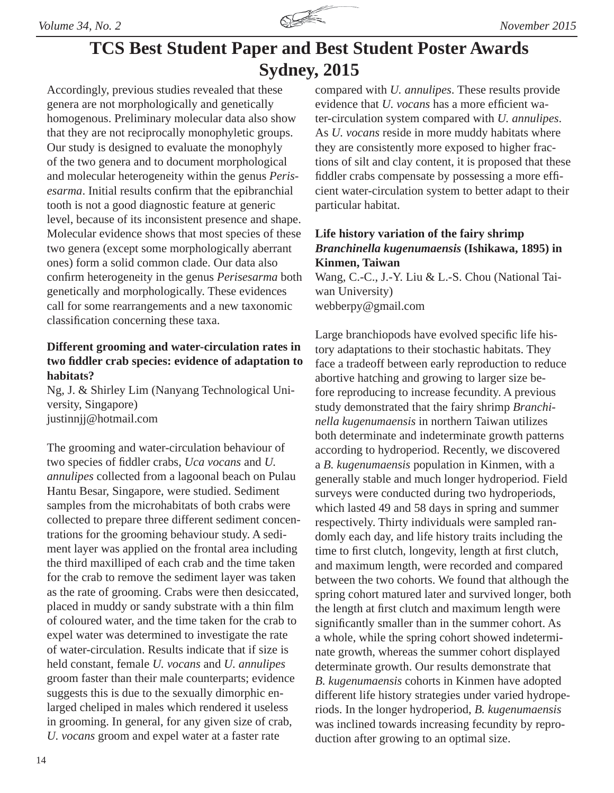

## **TCS Best Student Paper and Best Student Poster Awards Sydney, 2015**

Accordingly, previous studies revealed that these genera are not morphologically and genetically homogenous. Preliminary molecular data also show that they are not reciprocally monophyletic groups. Our study is designed to evaluate the monophyly of the two genera and to document morphological and molecular heterogeneity within the genus *Perisesarma*. Initial results confirm that the epibranchial tooth is not a good diagnostic feature at generic level, because of its inconsistent presence and shape. Molecular evidence shows that most species of these two genera (except some morphologically aberrant ones) form a solid common clade. Our data also confirm heterogeneity in the genus *Perisesarma* both genetically and morphologically. These evidences call for some rearrangements and a new taxonomic classification concerning these taxa.

## **Different grooming and water-circulation rates in two fi ddler crab species: evidence of adaptation to habitats?**

Ng, J. & Shirley Lim (Nanyang Technological University, Singapore) justinnjj@hotmail.com

The grooming and water-circulation behaviour of two species of fiddler crabs, *Uca vocans* and *U*. *annulipes* collected from a lagoonal beach on Pulau Hantu Besar, Singapore, were studied. Sediment samples from the microhabitats of both crabs were collected to prepare three different sediment concentrations for the grooming behaviour study. A sediment layer was applied on the frontal area including the third maxilliped of each crab and the time taken for the crab to remove the sediment layer was taken as the rate of grooming. Crabs were then desiccated, placed in muddy or sandy substrate with a thin film of coloured water, and the time taken for the crab to expel water was determined to investigate the rate of water-circulation. Results indicate that if size is held constant, female *U. vocans* and *U. annulipes*  groom faster than their male counterparts; evidence suggests this is due to the sexually dimorphic enlarged cheliped in males which rendered it useless in grooming. In general, for any given size of crab, *U. vocans* groom and expel water at a faster rate

compared with *U. annulipes*. These results provide evidence that *U. vocans* has a more efficient water-circulation system compared with *U. annulipes*. As *U. vocans* reside in more muddy habitats where they are consistently more exposed to higher fractions of silt and clay content, it is proposed that these fiddler crabs compensate by possessing a more efficient water-circulation system to better adapt to their particular habitat.

## **Life history variation of the fairy shrimp**  *Branchinella kugenumaensis* **(Ishikawa, 1895) in Kinmen, Taiwan**

Wang, C.-C., J.-Y. Liu & L.-S. Chou (National Taiwan University) webberpy@gmail.com

Large branchiopods have evolved specific life history adaptations to their stochastic habitats. They face a tradeoff between early reproduction to reduce abortive hatching and growing to larger size before reproducing to increase fecundity. A previous study demonstrated that the fairy shrimp *Branchinella kugenumaensis* in northern Taiwan utilizes both determinate and indeterminate growth patterns according to hydroperiod. Recently, we discovered a *B. kugenumaensis* population in Kinmen, with a generally stable and much longer hydroperiod. Field surveys were conducted during two hydroperiods, which lasted 49 and 58 days in spring and summer respectively. Thirty individuals were sampled randomly each day, and life history traits including the time to first clutch, longevity, length at first clutch, and maximum length, were recorded and compared between the two cohorts. We found that although the spring cohort matured later and survived longer, both the length at first clutch and maximum length were significantly smaller than in the summer cohort. As a whole, while the spring cohort showed indeterminate growth, whereas the summer cohort displayed determinate growth. Our results demonstrate that *B. kugenumaensis* cohorts in Kinmen have adopted different life history strategies under varied hydroperiods. In the longer hydroperiod, *B. kugenumaensis* was inclined towards increasing fecundity by reproduction after growing to an optimal size.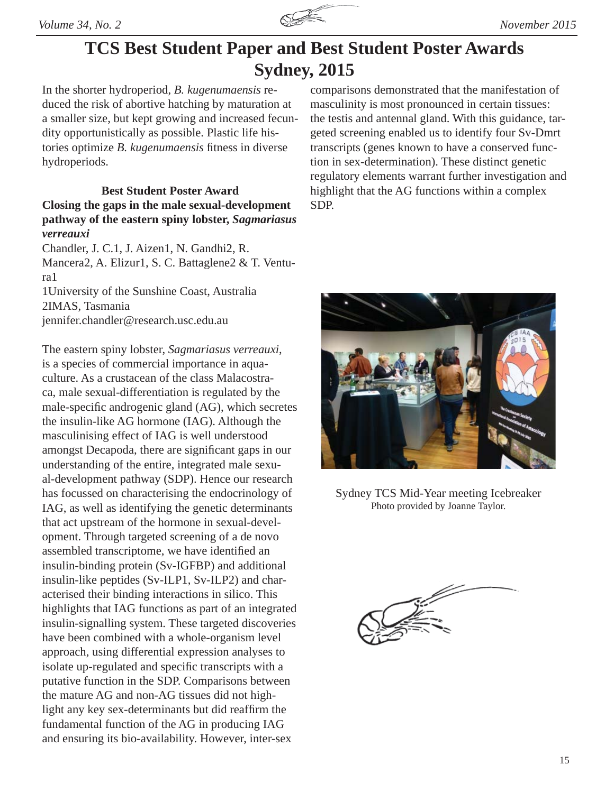

## **TCS Best Student Paper and Best Student Poster Awards Sydney, 2015**

In the shorter hydroperiod, *B. kugenumaensis* reduced the risk of abortive hatching by maturation at a smaller size, but kept growing and increased fecundity opportunistically as possible. Plastic life histories optimize *B. kugenumaensis* fitness in diverse hydroperiods.

## **Best Student Poster Award Closing the gaps in the male sexual-development pathway of the eastern spiny lobster,** *Sagmariasus verreauxi*

Chandler, J. C.1, J. Aizen1, N. Gandhi2, R. Mancera2, A. Elizur1, S. C. Battaglene2 & T. Ventura1

1University of the Sunshine Coast, Australia 2IMAS, Tasmania jennifer.chandler@research.usc.edu.au

The eastern spiny lobster, *Sagmariasus verreauxi*, is a species of commercial importance in aquaculture. As a crustacean of the class Malacostraca, male sexual-differentiation is regulated by the male-specific androgenic gland (AG), which secretes the insulin-like AG hormone (IAG). Although the masculinising effect of IAG is well understood amongst Decapoda, there are significant gaps in our understanding of the entire, integrated male sexual-development pathway (SDP). Hence our research has focussed on characterising the endocrinology of IAG, as well as identifying the genetic determinants that act upstream of the hormone in sexual-development. Through targeted screening of a de novo assembled transcriptome, we have identified an insulin-binding protein (Sv-IGFBP) and additional insulin-like peptides (Sv-ILP1, Sv-ILP2) and characterised their binding interactions in silico. This highlights that IAG functions as part of an integrated insulin-signalling system. These targeted discoveries have been combined with a whole-organism level approach, using differential expression analyses to isolate up-regulated and specific transcripts with a putative function in the SDP. Comparisons between the mature AG and non-AG tissues did not highlight any key sex-determinants but did reaffirm the fundamental function of the AG in producing IAG and ensuring its bio-availability. However, inter-sex

comparisons demonstrated that the manifestation of masculinity is most pronounced in certain tissues: the testis and antennal gland. With this guidance, targeted screening enabled us to identify four Sv-Dmrt transcripts (genes known to have a conserved function in sex-determination). These distinct genetic regulatory elements warrant further investigation and highlight that the AG functions within a complex SDP.



Sydney TCS Mid-Year meeting Icebreaker Photo provided by Joanne Taylor.

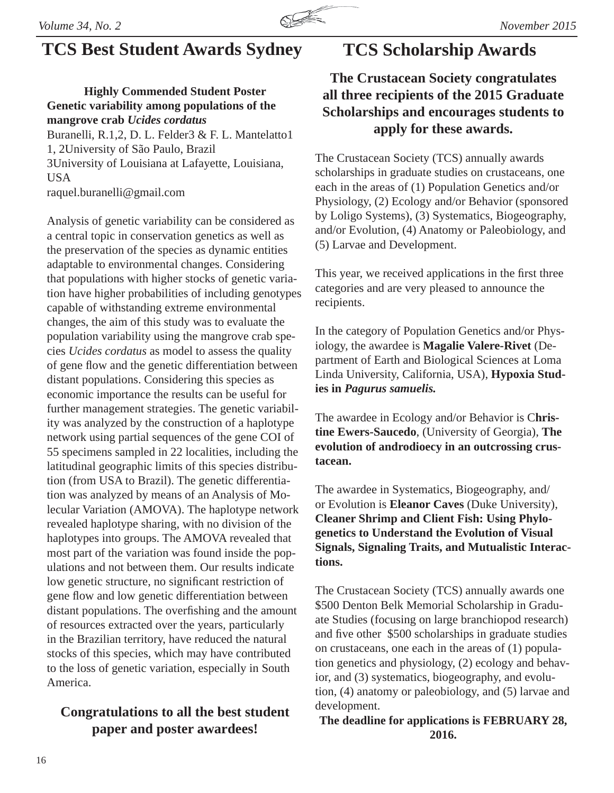

## **TCS Best Student Awards Sydney TCS Scholarship Awards**

## **Highly Commended Student Poster Genetic variability among populations of the mangrove crab** *Ucides cordatus*

Buranelli, R.1,2, D. L. Felder3 & F. L. Mantelatto1 1, 2University of São Paulo, Brazil 3University of Louisiana at Lafayette, Louisiana, USA raquel.buranelli@gmail.com

Analysis of genetic variability can be considered as a central topic in conservation genetics as well as the preservation of the species as dynamic entities adaptable to environmental changes. Considering that populations with higher stocks of genetic variation have higher probabilities of including genotypes capable of withstanding extreme environmental changes, the aim of this study was to evaluate the population variability using the mangrove crab species *Ucides cordatus* as model to assess the quality of gene flow and the genetic differentiation between distant populations. Considering this species as economic importance the results can be useful for further management strategies. The genetic variability was analyzed by the construction of a haplotype network using partial sequences of the gene COI of 55 specimens sampled in 22 localities, including the latitudinal geographic limits of this species distribution (from USA to Brazil). The genetic differentiation was analyzed by means of an Analysis of Molecular Variation (AMOVA). The haplotype network revealed haplotype sharing, with no division of the haplotypes into groups. The AMOVA revealed that most part of the variation was found inside the populations and not between them. Our results indicate low genetic structure, no significant restriction of gene flow and low genetic differentiation between distant populations. The overfishing and the amount of resources extracted over the years, particularly in the Brazilian territory, have reduced the natural stocks of this species, which may have contributed to the loss of genetic variation, especially in South America.

## **Congratulations to all the best student paper and poster awardees!**

## **The Crustacean Society congratulates all three recipients of the 2015 Graduate Scholarships and encourages students to apply for these awards.**

The Crustacean Society (TCS) annually awards scholarships in graduate studies on crustaceans, one each in the areas of (1) Population Genetics and/or Physiology, (2) Ecology and/or Behavior (sponsored by Loligo Systems), (3) Systematics, Biogeography, and/or Evolution, (4) Anatomy or Paleobiology, and (5) Larvae and Development.

This year, we received applications in the first three categories and are very pleased to announce the recipients.

In the category of Population Genetics and/or Physiology, the awardee is **Magalie Valere-Rivet** (Department of Earth and Biological Sciences at Loma Linda University, California, USA), **Hypoxia Studies in** *Pagurus samuelis.* 

The awardee in Ecology and/or Behavior is C**hristine Ewers-Saucedo**, (University of Georgia), **The evolution of androdioecy in an outcrossing crustacean.**

The awardee in Systematics, Biogeography, and/ or Evolution is **Eleanor Caves** (Duke University), **Cleaner Shrimp and Client Fish: Using Phylogenetics to Understand the Evolution of Visual Signals, Signaling Traits, and Mutualistic Interactions.**

The Crustacean Society (TCS) annually awards one \$500 Denton Belk Memorial Scholarship in Graduate Studies (focusing on large branchiopod research) and five other \$500 scholarships in graduate studies on crustaceans, one each in the areas of (1) population genetics and physiology, (2) ecology and behavior, and (3) systematics, biogeography, and evolution, (4) anatomy or paleobiology, and (5) larvae and development.

**The deadline for applications is FEBRUARY 28, 2016.**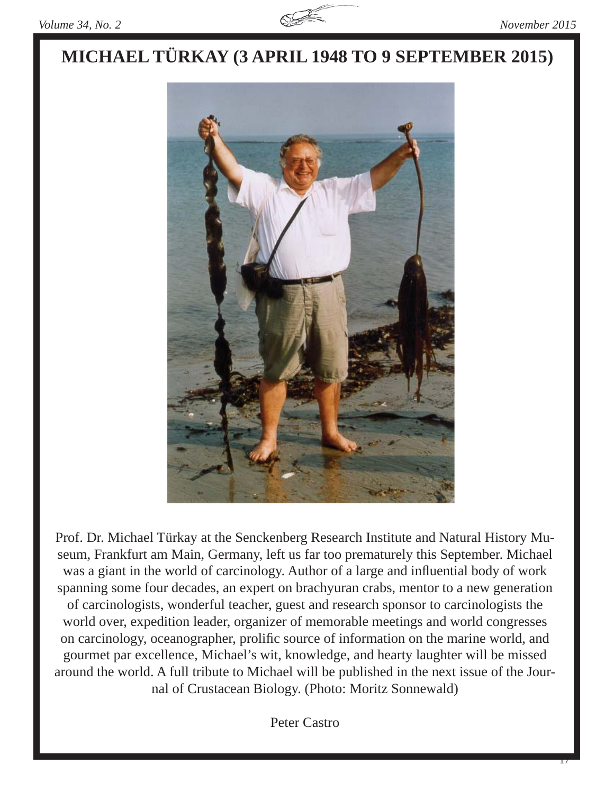

## **MICHAEL TÜRKAY (3 APRIL 1948 TO 9 SEPTEMBER 2015)**



Prof. Dr. Michael Türkay at the Senckenberg Research Institute and Natural History Museum, Frankfurt am Main, Germany, left us far too prematurely this September. Michael was a giant in the world of carcinology. Author of a large and influential body of work spanning some four decades, an expert on brachyuran crabs, mentor to a new generation of carcinologists, wonderful teacher, guest and research sponsor to carcinologists the world over, expedition leader, organizer of memorable meetings and world congresses on carcinology, oceanographer, prolific source of information on the marine world, and gourmet par excellence, Michael's wit, knowledge, and hearty laughter will be missed around the world. A full tribute to Michael will be published in the next issue of the Journal of Crustacean Biology. (Photo: Moritz Sonnewald)

Peter Castro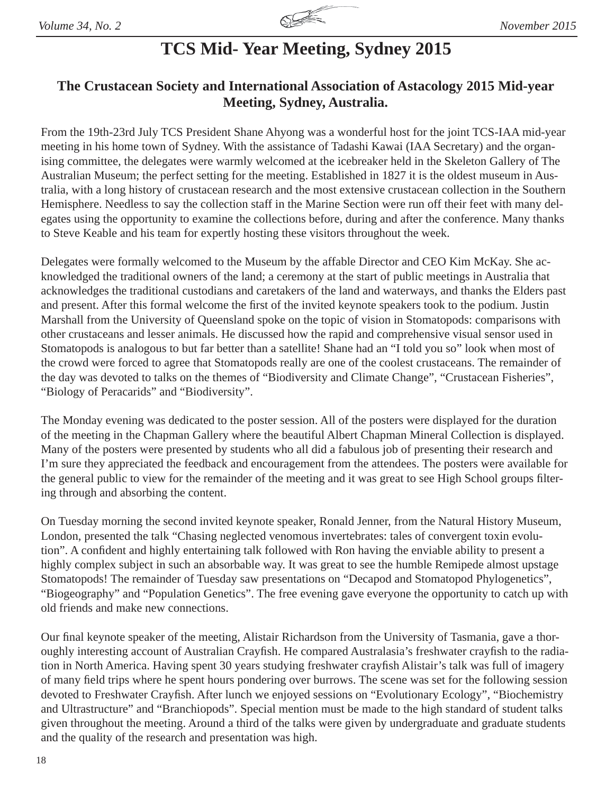

## **TCS Mid- Year Meeting, Sydney 2015**

## **The Crustacean Society and International Association of Astacology 2015 Mid-year Meeting, Sydney, Australia.**

From the 19th-23rd July TCS President Shane Ahyong was a wonderful host for the joint TCS-IAA mid-year meeting in his home town of Sydney. With the assistance of Tadashi Kawai (IAA Secretary) and the organising committee, the delegates were warmly welcomed at the icebreaker held in the Skeleton Gallery of The Australian Museum; the perfect setting for the meeting. Established in 1827 it is the oldest museum in Australia, with a long history of crustacean research and the most extensive crustacean collection in the Southern Hemisphere. Needless to say the collection staff in the Marine Section were run off their feet with many delegates using the opportunity to examine the collections before, during and after the conference. Many thanks to Steve Keable and his team for expertly hosting these visitors throughout the week.

Delegates were formally welcomed to the Museum by the affable Director and CEO Kim McKay. She acknowledged the traditional owners of the land; a ceremony at the start of public meetings in Australia that acknowledges the traditional custodians and caretakers of the land and waterways, and thanks the Elders past and present. After this formal welcome the first of the invited keynote speakers took to the podium. Justin Marshall from the University of Queensland spoke on the topic of vision in Stomatopods: comparisons with other crustaceans and lesser animals. He discussed how the rapid and comprehensive visual sensor used in Stomatopods is analogous to but far better than a satellite! Shane had an "I told you so" look when most of the crowd were forced to agree that Stomatopods really are one of the coolest crustaceans. The remainder of the day was devoted to talks on the themes of "Biodiversity and Climate Change", "Crustacean Fisheries", "Biology of Peracarids" and "Biodiversity".

The Monday evening was dedicated to the poster session. All of the posters were displayed for the duration of the meeting in the Chapman Gallery where the beautiful Albert Chapman Mineral Collection is displayed. Many of the posters were presented by students who all did a fabulous job of presenting their research and I'm sure they appreciated the feedback and encouragement from the attendees. The posters were available for the general public to view for the remainder of the meeting and it was great to see High School groups filtering through and absorbing the content.

On Tuesday morning the second invited keynote speaker, Ronald Jenner, from the Natural History Museum, London, presented the talk "Chasing neglected venomous invertebrates: tales of convergent toxin evolution". A confident and highly entertaining talk followed with Ron having the enviable ability to present a highly complex subject in such an absorbable way. It was great to see the humble Remipede almost upstage Stomatopods! The remainder of Tuesday saw presentations on "Decapod and Stomatopod Phylogenetics", "Biogeography" and "Population Genetics". The free evening gave everyone the opportunity to catch up with old friends and make new connections.

Our final keynote speaker of the meeting, Alistair Richardson from the University of Tasmania, gave a thoroughly interesting account of Australian Crayfish. He compared Australasia's freshwater crayfish to the radiation in North America. Having spent 30 years studying freshwater crayfish Alistair's talk was full of imagery of many field trips where he spent hours pondering over burrows. The scene was set for the following session devoted to Freshwater Crayfish. After lunch we enjoyed sessions on "Evolutionary Ecology", "Biochemistry and Ultrastructure" and "Branchiopods". Special mention must be made to the high standard of student talks given throughout the meeting. Around a third of the talks were given by undergraduate and graduate students and the quality of the research and presentation was high.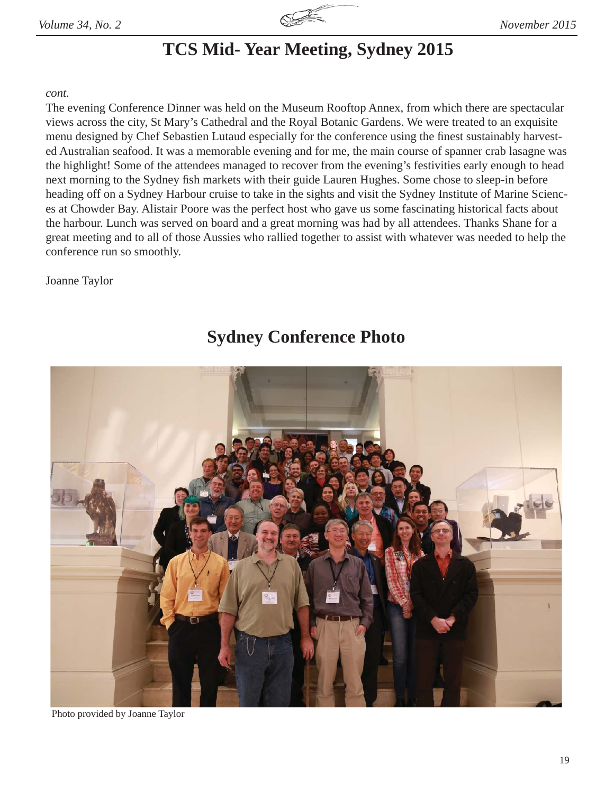

## **TCS Mid- Year Meeting, Sydney 2015**

### *cont.*

The evening Conference Dinner was held on the Museum Rooftop Annex, from which there are spectacular views across the city, St Mary's Cathedral and the Royal Botanic Gardens. We were treated to an exquisite menu designed by Chef Sebastien Lutaud especially for the conference using the finest sustainably harvested Australian seafood. It was a memorable evening and for me, the main course of spanner crab lasagne was the highlight! Some of the attendees managed to recover from the evening's festivities early enough to head next morning to the Sydney fish markets with their guide Lauren Hughes. Some chose to sleep-in before heading off on a Sydney Harbour cruise to take in the sights and visit the Sydney Institute of Marine Sciences at Chowder Bay. Alistair Poore was the perfect host who gave us some fascinating historical facts about the harbour. Lunch was served on board and a great morning was had by all attendees. Thanks Shane for a great meeting and to all of those Aussies who rallied together to assist with whatever was needed to help the conference run so smoothly.

Joanne Taylor

## **Sydney Conference Photo**



Photo provided by Joanne Taylor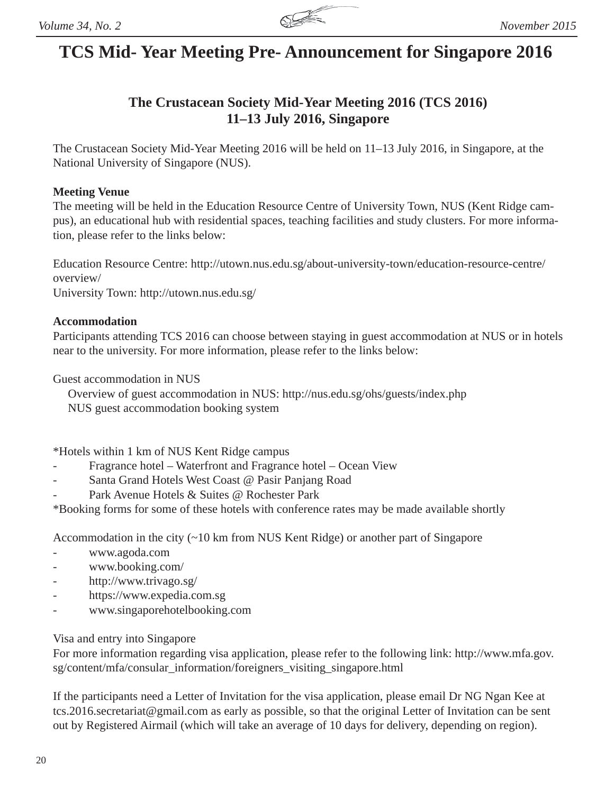## **TCS Mid- Year Meeting Pre- Announcement for Singapore 2016**

## **The Crustacean Society Mid-Year Meeting 2016 (TCS 2016) 11–13 July 2016, Singapore**

The Crustacean Society Mid-Year Meeting 2016 will be held on 11–13 July 2016, in Singapore, at the National University of Singapore (NUS).

### **Meeting Venue**

The meeting will be held in the Education Resource Centre of University Town, NUS (Kent Ridge campus), an educational hub with residential spaces, teaching facilities and study clusters. For more information, please refer to the links below:

Education Resource Centre: http://utown.nus.edu.sg/about-university-town/education-resource-centre/ overview/

University Town: http://utown.nus.edu.sg/

### **Accommodation**

Participants attending TCS 2016 can choose between staying in guest accommodation at NUS or in hotels near to the university. For more information, please refer to the links below:

Guest accommodation in NUS

 Overview of guest accommodation in NUS: http://nus.edu.sg/ohs/guests/index.php NUS guest accommodation booking system

\*Hotels within 1 km of NUS Kent Ridge campus

- Fragrance hotel Waterfront and Fragrance hotel Ocean View
- Santa Grand Hotels West Coast @ Pasir Panjang Road
- Park Avenue Hotels & Suites @ Rochester Park

\*Booking forms for some of these hotels with conference rates may be made available shortly

Accommodation in the city (~10 km from NUS Kent Ridge) or another part of Singapore

- www.agoda.com
- www.booking.com/
- http://www.trivago.sg/
- https://www.expedia.com.sg
- www.singaporehotelbooking.com

### Visa and entry into Singapore

For more information regarding visa application, please refer to the following link: http://www.mfa.gov. sg/content/mfa/consular\_information/foreigners\_visiting\_singapore.html

If the participants need a Letter of Invitation for the visa application, please email Dr NG Ngan Kee at tcs.2016.secretariat@gmail.com as early as possible, so that the original Letter of Invitation can be sent out by Registered Airmail (which will take an average of 10 days for delivery, depending on region).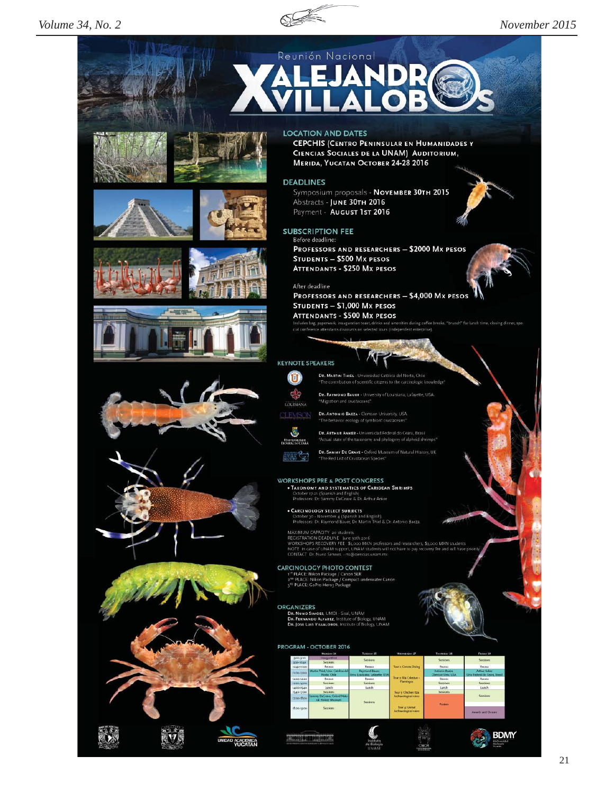

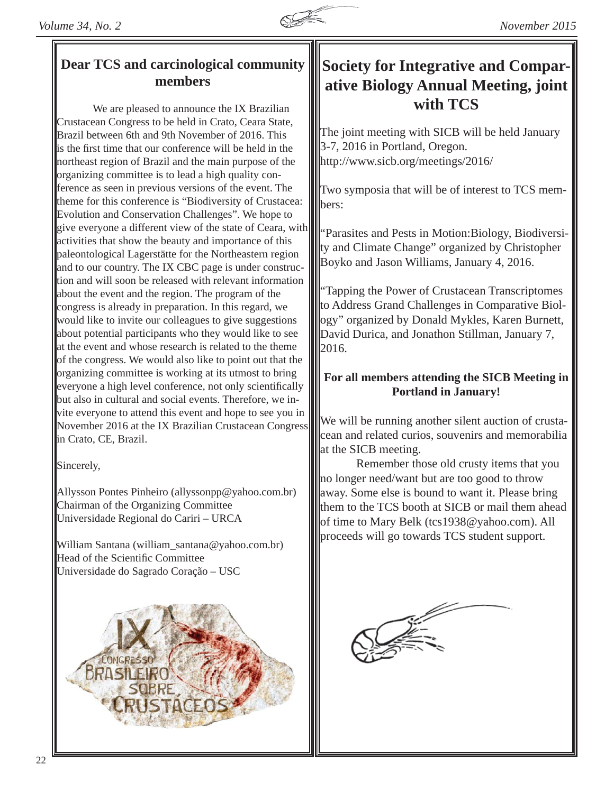

## **members**

 We are pleased to announce the IX Brazilian Crustacean Congress to be held in Crato, Ceara State, Brazil between 6th and 9th November of 2016. This is the first time that our conference will be held in the northeast region of Brazil and the main purpose of the organizing committee is to lead a high quality conference as seen in previous versions of the event. The theme for this conference is "Biodiversity of Crustacea: Evolution and Conservation Challenges". We hope to give everyone a different view of the state of Ceara, with activities that show the beauty and importance of this paleontological Lagerstätte for the Northeastern region and to our country. The IX CBC page is under construction and will soon be released with relevant information about the event and the region. The program of the congress is already in preparation. In this regard, we would like to invite our colleagues to give suggestions about potential participants who they would like to see at the event and whose research is related to the theme of the congress. We would also like to point out that the organizing committee is working at its utmost to bring everyone a high level conference, not only scientifically but also in cultural and social events. Therefore, we invite everyone to attend this event and hope to see you in November 2016 at the IX Brazilian Crustacean Congress in Crato, CE, Brazil.

Sincerely,

Allysson Pontes Pinheiro (allyssonpp@yahoo.com.br) Chairman of the Organizing Committee Universidade Regional do Cariri – URCA

William Santana (william\_santana@yahoo.com.br) Head of the Scientific Committee Universidade do Sagrado Coração – USC



## Dear TCS and carcinological community **Society for Integrative and Comparative Biology Annual Meeting, joint with TCS**

The joint meeting with SICB will be held January 3-7, 2016 in Portland, Oregon. http://www.sicb.org/meetings/2016/

Two symposia that will be of interest to TCS memhers:

"Parasites and Pests in Motion: Biology, Biodiversity and Climate Change" organized by Christopher Boyko and Jason Williams, January 4, 2016.

"Tapping the Power of Crustacean Transcriptomes to Address Grand Challenges in Comparative Biology" organized by Donald Mykles, Karen Burnett, David Durica, and Jonathon Stillman, January 7,  $III<sub>2016</sub>$ .

## **For all members attending the SICB Meeting in Portland in January!**

We will be running another silent auction of crustacean and related curios, souvenirs and memorabilia at the SICB meeting.

 Remember those old crusty items that you no longer need/want but are too good to throw away. Some else is bound to want it. Please bring them to the TCS booth at SICB or mail them ahead of time to Mary Belk (tcs1938@yahoo.com). All proceeds will go towards TCS student support.